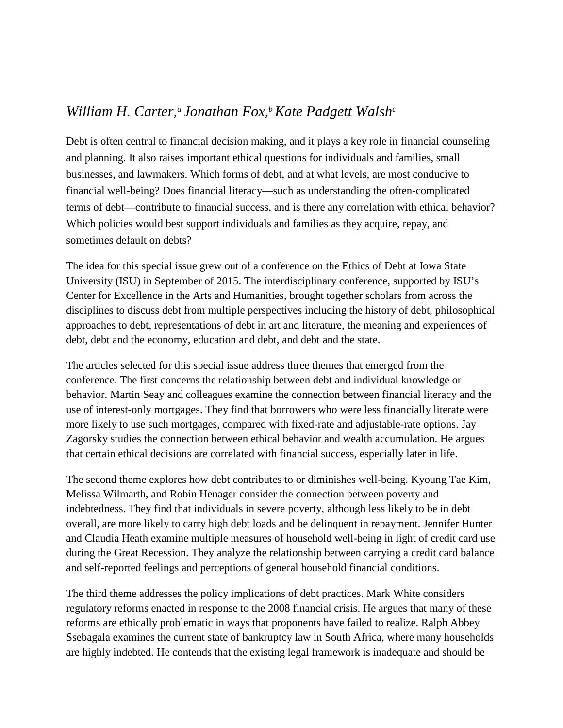## *William H. Carter,<sup>a</sup> Jonathan Fox,<sup>b</sup> Kate Padgett Walsh<sup>c</sup>*

Debt is often central to financial decision making, and it plays a key role in financial counseling and planning. It also raises important ethical questions for individuals and families, small businesses, and lawmakers. Which forms of debt, and at what levels, are most conducive to financial well-being? Does financial literacy—such as understanding the often-complicated terms of debt—contribute to financial success, and is there any correlation with ethical behavior? Which policies would best support individuals and families as they acquire, repay, and sometimes default on debts?

The idea for this special issue grew out of a conference on the Ethics of Debt at Iowa State University (ISU) in September of 2015. The interdisciplinary conference, supported by ISU's Center for Excellence in the Arts and Humanities, brought together scholars from across the disciplines to discuss debt from multiple perspectives including the history of debt, philosophical approaches to debt, representations of debt in art and literature, the meaning and experiences of debt, debt and the economy, education and debt, and debt and the state.

The articles selected for this special issue address three themes that emerged from the conference. The first concerns the relationship between debt and individual knowledge or behavior. Martin Seay and colleagues examine the connection between financial literacy and the use of interest-only mortgages. They find that borrowers who were less financially literate were more likely to use such mortgages, compared with fixed-rate and adjustable-rate options. Jay Zagorsky studies the connection between ethical behavior and wealth accumulation. He argues that certain ethical decisions are correlated with financial success, especially later in life.

The second theme explores how debt contributes to or diminishes well-being. Kyoung Tae Kim, Melissa Wilmarth, and Robin Henager consider the connection between poverty and indebtedness. They find that individuals in severe poverty, although less likely to be in debt overall, are more likely to carry high debt loads and be delinquent in repayment. Jennifer Hunter and Claudia Heath examine multiple measures of household well-being in light of credit card use during the Great Recession. They analyze the relationship between carrying a credit card balance and self-reported feelings and perceptions of general household financial conditions.

The third theme addresses the policy implications of debt practices. Mark White considers regulatory reforms enacted in response to the 2008 financial crisis. He argues that many of these reforms are ethically problematic in ways that proponents have failed to realize. Ralph Abbey Ssebagala examines the current state of bankruptcy law in South Africa, where many households are highly indebted. He contends that the existing legal framework is inadequate and should be